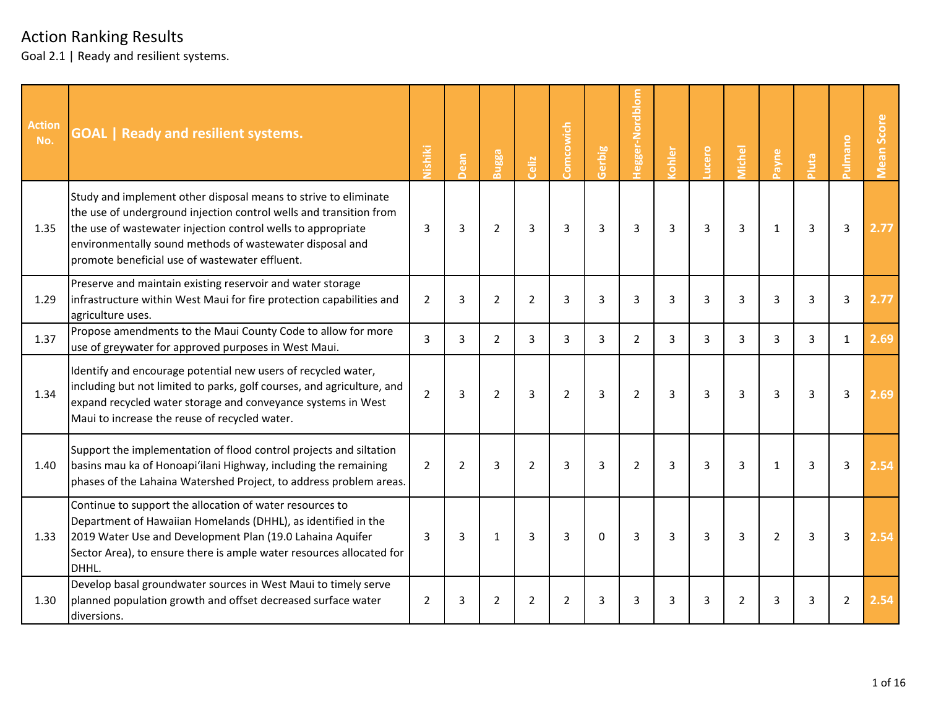| Action<br>No. | <b>GOAL</b>   Ready and resilient systems.                                                                                                                                                                                                                                                                          | Nishiki        | Dean           | Bugga          | Celiz          | Comcowich      | Gerbig         | Hegger-Nordblom | <b>cohler</b> | ucero          | <b>Aichel</b>  | Payne          | Pluta | ourumln <sub>c</sub> | <b>Vlean Score</b> |
|---------------|---------------------------------------------------------------------------------------------------------------------------------------------------------------------------------------------------------------------------------------------------------------------------------------------------------------------|----------------|----------------|----------------|----------------|----------------|----------------|-----------------|---------------|----------------|----------------|----------------|-------|----------------------|--------------------|
| 1.35          | Study and implement other disposal means to strive to eliminate<br>the use of underground injection control wells and transition from<br>the use of wastewater injection control wells to appropriate<br>environmentally sound methods of wastewater disposal and<br>promote beneficial use of wastewater effluent. | 3              | 3              | $\overline{2}$ | 3              | 3              | 3              | 3               | 3             | 3              | 3              | $\mathbf{1}$   | 3     | $\mathbf{3}$         | 2.77               |
| 1.29          | Preserve and maintain existing reservoir and water storage<br>infrastructure within West Maui for fire protection capabilities and<br>agriculture uses.                                                                                                                                                             | $\overline{2}$ | 3              | $\overline{2}$ | $\overline{2}$ | 3              | 3              | 3               | 3             | 3              | 3              | 3              | 3     | 3                    | 2.77               |
| 1.37          | Propose amendments to the Maui County Code to allow for more<br>use of greywater for approved purposes in West Maui.                                                                                                                                                                                                | 3              | 3              | $\overline{2}$ | $\overline{3}$ | $\overline{3}$ | 3              | $\overline{2}$  | 3             | 3              | 3              | 3              | 3     | $\mathbf{1}$         | 2.69               |
| 1.34          | Identify and encourage potential new users of recycled water,<br>including but not limited to parks, golf courses, and agriculture, and<br>expand recycled water storage and conveyance systems in West<br>Maui to increase the reuse of recycled water.                                                            | $\overline{2}$ | 3              | $\overline{2}$ | 3              | 2              | 3              | $\overline{2}$  | 3             | 3              | 3              | 3              | 3     | 3                    | 2.69               |
| 1.40          | Support the implementation of flood control projects and siltation<br>basins mau ka of Honoapi'ilani Highway, including the remaining<br>phases of the Lahaina Watershed Project, to address problem areas.                                                                                                         | $\overline{2}$ | $\overline{2}$ | 3              | $\overline{2}$ | $\overline{3}$ | $\overline{3}$ | $\overline{2}$  | 3             | 3              | $\overline{3}$ | $\mathbf{1}$   | 3     | $\overline{3}$       | 2.54               |
| 1.33          | Continue to support the allocation of water resources to<br>Department of Hawaiian Homelands (DHHL), as identified in the<br>2019 Water Use and Development Plan (19.0 Lahaina Aquifer<br>Sector Area), to ensure there is ample water resources allocated for<br>DHHL.                                             | 3              | 3              | $\mathbf{1}$   | $\overline{3}$ | 3              | $\Omega$       | $\overline{3}$  | 3             | $\overline{3}$ | 3              | $\overline{2}$ | 3     | $\mathbf{3}$         | 2.54               |
| 1.30          | Develop basal groundwater sources in West Maui to timely serve<br>planned population growth and offset decreased surface water<br>diversions.                                                                                                                                                                       | $\overline{2}$ | 3              | $\overline{2}$ | $\overline{2}$ | $\overline{2}$ | 3              | 3               | 3             | 3              | $\overline{2}$ | 3              | 3     | $\overline{2}$       | 2.54               |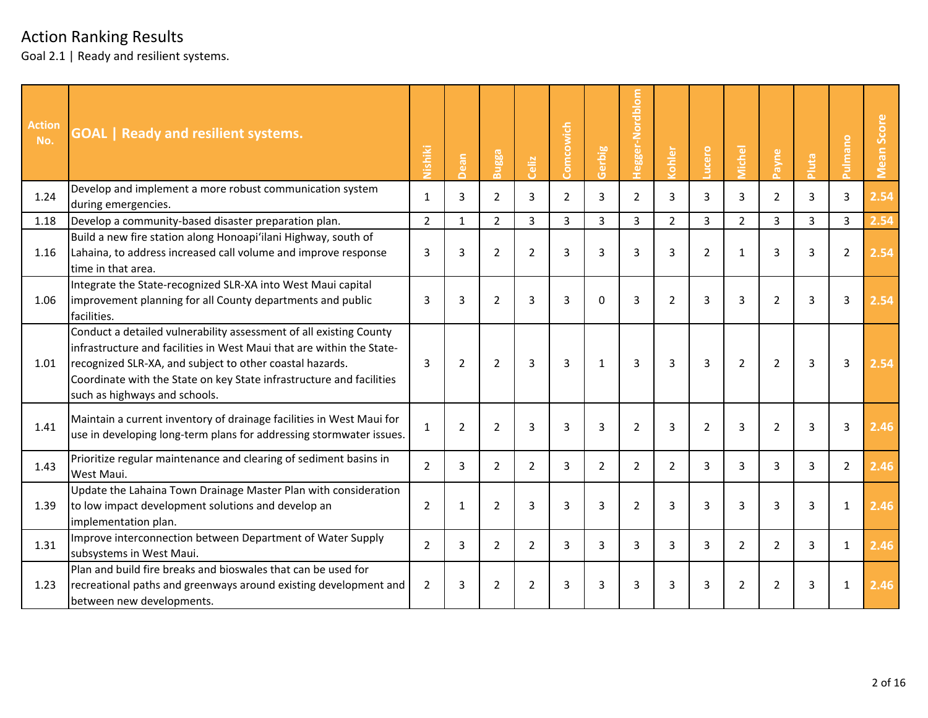| <b>Action</b><br>No. | <b>GOAL</b>   Ready and resilient systems.                                                                                                                                                                                                                                                                        | Nishiki        | Dean           | Bugga          | Celiz          | Comcowich      | Gerbig         | Hegger-Nordblom | <b>Cohler</b>  | ucero          | vichel         | Payne          | Pluta          | <b>Pulmano</b> | Score<br>Mean |
|----------------------|-------------------------------------------------------------------------------------------------------------------------------------------------------------------------------------------------------------------------------------------------------------------------------------------------------------------|----------------|----------------|----------------|----------------|----------------|----------------|-----------------|----------------|----------------|----------------|----------------|----------------|----------------|---------------|
| 1.24                 | Develop and implement a more robust communication system<br>during emergencies.                                                                                                                                                                                                                                   | $\mathbf{1}$   | 3              | $\overline{2}$ | 3              | $\overline{2}$ | 3              | $\overline{2}$  | 3              | 3              | 3              | $\overline{2}$ | 3              | 3              | 2.54          |
| 1.18                 | Develop a community-based disaster preparation plan.                                                                                                                                                                                                                                                              | $\overline{2}$ | $\mathbf{1}$   | $\overline{2}$ | 3              | $\overline{3}$ | 3              | 3               | $\overline{2}$ | 3              | $\overline{2}$ | $\overline{3}$ | $\overline{3}$ | $\overline{3}$ | 2.54          |
| 1.16                 | Build a new fire station along Honoapi'ilani Highway, south of<br>Lahaina, to address increased call volume and improve response<br>time in that area.                                                                                                                                                            | 3              | 3              | $\overline{2}$ | $\overline{2}$ | $\overline{3}$ | $\overline{3}$ | $\overline{3}$  | $\overline{3}$ | $\overline{2}$ | $\mathbf{1}$   | 3              | 3              | $\overline{2}$ | 2.54          |
| 1.06                 | Integrate the State-recognized SLR-XA into West Maui capital<br>improvement planning for all County departments and public<br>facilities.                                                                                                                                                                         | 3              | 3              | 2              | 3              | 3              | $\Omega$       | 3               | $\overline{2}$ | 3              | $\overline{3}$ | $\overline{2}$ | 3              | 3              | 2.54          |
| 1.01                 | Conduct a detailed vulnerability assessment of all existing County<br>linfrastructure and facilities in West Maui that are within the State-<br>recognized SLR-XA, and subject to other coastal hazards.<br>Coordinate with the State on key State infrastructure and facilities<br>such as highways and schools. | 3              | $\overline{2}$ | $\overline{2}$ | 3              | 3              | $\mathbf{1}$   | 3               | 3              | $\overline{3}$ | $\overline{2}$ | $\overline{2}$ | 3              | 3              | 2.54          |
| 1.41                 | Maintain a current inventory of drainage facilities in West Maui for<br>use in developing long-term plans for addressing stormwater issues.                                                                                                                                                                       | $\mathbf{1}$   | $\overline{2}$ | $\overline{2}$ | 3              | 3              | 3              | $\overline{2}$  | 3              | $\overline{2}$ | 3              | $\overline{2}$ | 3              | 3              | 2.46          |
| 1.43                 | Prioritize regular maintenance and clearing of sediment basins in<br>West Maui.                                                                                                                                                                                                                                   | 2              | 3              | $\overline{2}$ | $\overline{2}$ | 3              | $\overline{2}$ | $\overline{2}$  | $\overline{2}$ | 3              | 3              | 3              | 3              | $\overline{2}$ | 2.46          |
| 1.39                 | Update the Lahaina Town Drainage Master Plan with consideration<br>to low impact development solutions and develop an<br>implementation plan.                                                                                                                                                                     | $\overline{2}$ | $\mathbf{1}$   | $\overline{2}$ | 3              | $\overline{3}$ | $\overline{3}$ | $\overline{2}$  | 3              | $\overline{3}$ | $\overline{3}$ | 3              | 3              | $\mathbf{1}$   | 2.46          |
| 1.31                 | Improve interconnection between Department of Water Supply<br>subsystems in West Maui.                                                                                                                                                                                                                            | $\overline{2}$ | 3              | $\overline{2}$ | $\overline{2}$ | 3              | 3              | 3               | 3              | 3              | $\overline{2}$ | $\overline{2}$ | 3              | $\mathbf{1}$   | 2.46          |
| 1.23                 | Plan and build fire breaks and bioswales that can be used for<br>recreational paths and greenways around existing development and<br>between new developments.                                                                                                                                                    | $\overline{2}$ | 3              | $\overline{2}$ | $\overline{2}$ | 3              | 3              | 3               | 3              | 3              | $\overline{2}$ | $\overline{2}$ | 3              | 1              | 2.46          |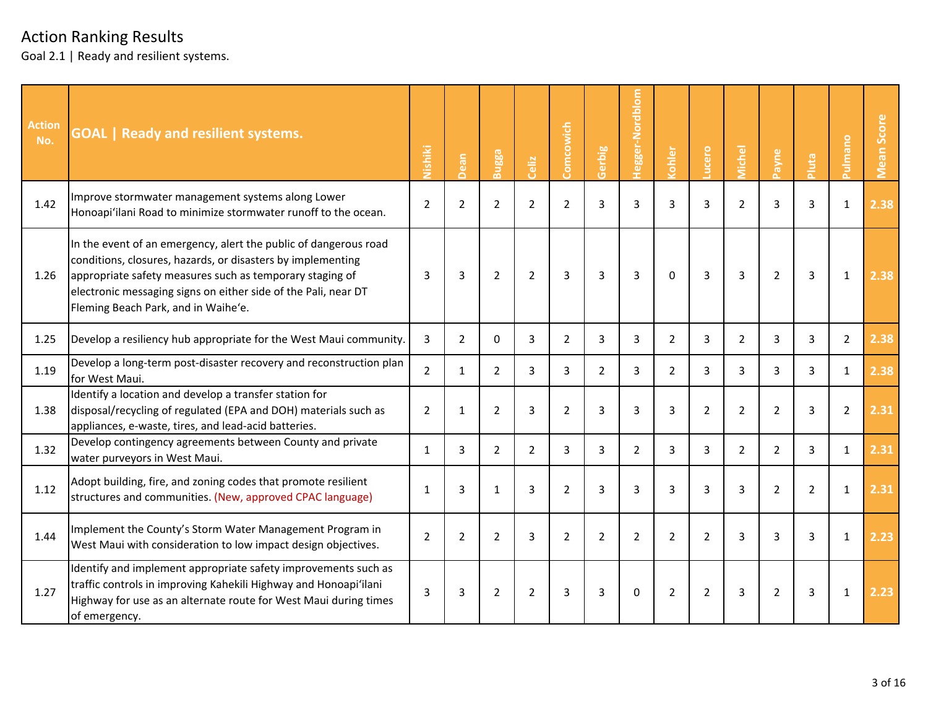| <b>Action</b><br>No. | <b>GOAL   Ready and resilient systems.</b>                                                                                                                                                                                                                                                           | Nishiki        | Dean           | <b>Bugga</b>   | Celiz          | Comcowich      | Gerbig         | <b>Tegger-Nordblom</b> | <b>Cohler</b>  | ucero          | <b>Aichel</b>  | Payne          | Pluta          | <b>Pulmano</b> | Score<br>Mean |
|----------------------|------------------------------------------------------------------------------------------------------------------------------------------------------------------------------------------------------------------------------------------------------------------------------------------------------|----------------|----------------|----------------|----------------|----------------|----------------|------------------------|----------------|----------------|----------------|----------------|----------------|----------------|---------------|
| 1.42                 | Improve stormwater management systems along Lower<br>Honoapi'ilani Road to minimize stormwater runoff to the ocean.                                                                                                                                                                                  | $\overline{2}$ | $\overline{2}$ | $\overline{2}$ | $\overline{2}$ | $\overline{2}$ | 3              | 3                      | 3              | 3              | $\overline{2}$ | 3              | 3              | $\mathbf{1}$   | 2.38          |
| 1.26                 | In the event of an emergency, alert the public of dangerous road<br>conditions, closures, hazards, or disasters by implementing<br>appropriate safety measures such as temporary staging of<br>electronic messaging signs on either side of the Pali, near DT<br>Fleming Beach Park, and in Waihe'e. | 3              | 3              | 2              | 2              | 3              | 3              | 3                      | $\Omega$       | 3              | 3              | $\overline{2}$ | 3              | $\mathbf{1}$   | 2.38          |
| 1.25                 | Develop a resiliency hub appropriate for the West Maui community.                                                                                                                                                                                                                                    | 3              | $\overline{2}$ | $\Omega$       | 3              | $\overline{2}$ | 3              | 3                      | $\overline{2}$ | $\overline{3}$ | $\overline{2}$ | 3              | 3              | $\overline{2}$ | 2.38          |
| 1.19                 | Develop a long-term post-disaster recovery and reconstruction plan<br>for West Maui.                                                                                                                                                                                                                 | $\overline{2}$ | 1              | 2              | 3              | 3              | $\overline{2}$ | 3                      | $\overline{2}$ | 3              | 3              | 3              | 3              | $\mathbf{1}$   | 2.38          |
| 1.38                 | Identify a location and develop a transfer station for<br>disposal/recycling of regulated (EPA and DOH) materials such as<br>appliances, e-waste, tires, and lead-acid batteries.                                                                                                                    | 2              | 1              | 2              | 3              | 2              | 3              | 3                      | 3              | $\overline{2}$ | $\overline{2}$ | $\overline{2}$ | 3              | $\overline{2}$ | 2.31          |
| 1.32                 | Develop contingency agreements between County and private<br>water purveyors in West Maui.                                                                                                                                                                                                           | $\mathbf{1}$   | 3              | 2              | $\overline{2}$ | 3              | 3              | $\overline{2}$         | 3              | 3              | $\overline{2}$ | $\overline{2}$ | 3              | $\mathbf{1}$   | 2.31          |
| 1.12                 | Adopt building, fire, and zoning codes that promote resilient<br>structures and communities. (New, approved CPAC language)                                                                                                                                                                           | $\mathbf{1}$   | 3              | $\mathbf{1}$   | 3              | 2              | 3              | 3                      | 3              | 3              | 3              | $\overline{2}$ | $\overline{2}$ | $\mathbf{1}$   | 2.31          |
| 1.44                 | Implement the County's Storm Water Management Program in<br>West Maui with consideration to low impact design objectives.                                                                                                                                                                            | $\overline{2}$ | $\overline{2}$ | $\overline{2}$ | 3              | $\overline{2}$ | $\overline{2}$ | $\overline{2}$         | $\overline{2}$ | $\overline{2}$ | $\overline{3}$ | 3              | 3              | $\mathbf{1}$   | 2.23          |
| 1.27                 | Identify and implement appropriate safety improvements such as<br>traffic controls in improving Kahekili Highway and Honoapi'ilani<br>Highway for use as an alternate route for West Maui during times<br>of emergency.                                                                              | 3              | 3              | $\overline{2}$ | $\overline{2}$ | 3              | 3              | $\Omega$               | $\overline{2}$ | $\overline{2}$ | 3              | $\overline{2}$ | 3              | 1              | 2.23          |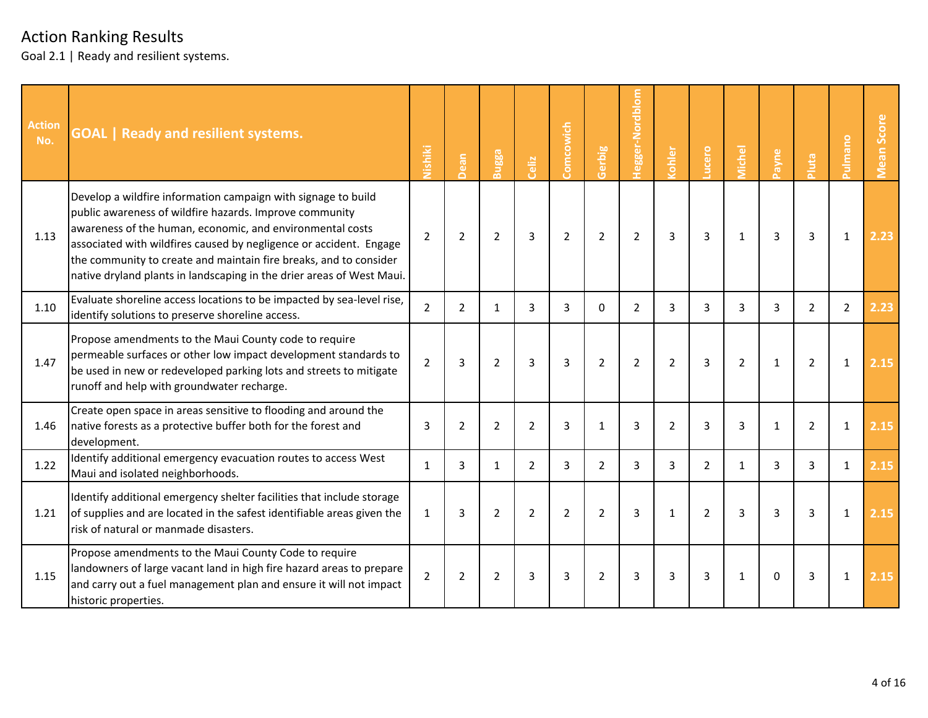| <b>Action</b><br>No. | <b>GOAL</b>   Ready and resilient systems.                                                                                                                                                                                                                                                                                                                                                                | Nishiki        | ean            | Bugga          | Celiz          | Comcowich      | Gerbig         | Hegger-Nordblom | ohler          | ucero          | <b>Aichel</b>  | Payne        | Pluta          | <b>Pulmano</b> | <b>Mean Score</b> |
|----------------------|-----------------------------------------------------------------------------------------------------------------------------------------------------------------------------------------------------------------------------------------------------------------------------------------------------------------------------------------------------------------------------------------------------------|----------------|----------------|----------------|----------------|----------------|----------------|-----------------|----------------|----------------|----------------|--------------|----------------|----------------|-------------------|
| 1.13                 | Develop a wildfire information campaign with signage to build<br>public awareness of wildfire hazards. Improve community<br>awareness of the human, economic, and environmental costs<br>associated with wildfires caused by negligence or accident. Engage<br>the community to create and maintain fire breaks, and to consider<br>native dryland plants in landscaping in the drier areas of West Maui. | $\overline{2}$ | $\overline{2}$ | $\overline{2}$ | 3              | $\overline{2}$ | $\overline{2}$ | $\overline{2}$  | $\overline{3}$ | 3              | $\mathbf{1}$   | 3            | 3              | $\mathbf{1}$   | 2.23              |
| 1.10                 | Evaluate shoreline access locations to be impacted by sea-level rise,<br>identify solutions to preserve shoreline access.                                                                                                                                                                                                                                                                                 | $\overline{2}$ | $\overline{2}$ | 1              | 3              | 3              | $\mathbf{0}$   | $\overline{2}$  | 3              | 3              | 3              | 3            | $\overline{2}$ | $\overline{2}$ | 2.23              |
| 1.47                 | Propose amendments to the Maui County code to require<br>permeable surfaces or other low impact development standards to<br>be used in new or redeveloped parking lots and streets to mitigate<br>runoff and help with groundwater recharge.                                                                                                                                                              | $\overline{2}$ | 3              | $\overline{2}$ | 3              | 3              | $\overline{2}$ | $\overline{2}$  | $\overline{2}$ | 3              | $\overline{2}$ | $\mathbf{1}$ | $\overline{2}$ | $\mathbf{1}$   | 2.15              |
| 1.46                 | Create open space in areas sensitive to flooding and around the<br>native forests as a protective buffer both for the forest and<br>development.                                                                                                                                                                                                                                                          | 3              | $\overline{2}$ | 2              | $\overline{2}$ | 3              | $\mathbf{1}$   | 3               | $\overline{2}$ | 3              | 3              | 1            | $\overline{2}$ | $\mathbf{1}$   | 2.15              |
| 1.22                 | Identify additional emergency evacuation routes to access West<br>Maui and isolated neighborhoods.                                                                                                                                                                                                                                                                                                        | $\mathbf{1}$   | 3              | 1              | $\overline{2}$ | 3              | $\overline{2}$ | 3               | 3              | $\overline{2}$ | $\mathbf{1}$   | 3            | 3              | $\mathbf{1}$   | 2.15              |
| 1.21                 | Identify additional emergency shelter facilities that include storage<br>of supplies and are located in the safest identifiable areas given the<br>risk of natural or manmade disasters.                                                                                                                                                                                                                  | $\mathbf{1}$   | 3              | $\overline{2}$ | $\overline{2}$ | $\overline{2}$ | $\overline{2}$ | 3               | 1              | $\overline{2}$ | 3              | 3            | 3              | $\mathbf{1}$   | 2.15              |
| 1.15                 | Propose amendments to the Maui County Code to require<br>landowners of large vacant land in high fire hazard areas to prepare<br>and carry out a fuel management plan and ensure it will not impact<br>historic properties.                                                                                                                                                                               | $\overline{2}$ | $\overline{2}$ | 2              | 3              | 3              | $\overline{2}$ | 3               | 3              | 3              | $\mathbf{1}$   | $\Omega$     | 3              | $\mathbf{1}$   | 2.15              |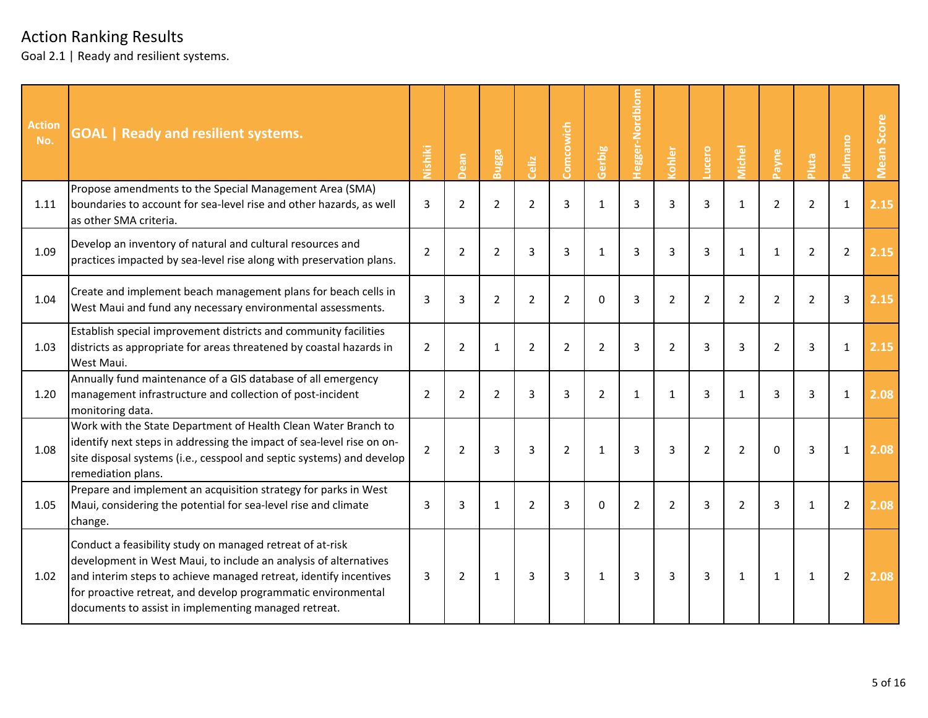| <b>Action</b><br>No. | <b>GOAL   Ready and resilient systems.</b>                                                                                                                                                                                                                                                                                  | Nishiki        | ean<br>$\Delta$ | Bugga          | Celiz          | Comcowich      | Gerbig         | <b>Tegger-Nordblom</b> | ohler          | ucero          | <b>Michel</b>  | ayne           | pluta          | ourum          | Score<br>Mean |
|----------------------|-----------------------------------------------------------------------------------------------------------------------------------------------------------------------------------------------------------------------------------------------------------------------------------------------------------------------------|----------------|-----------------|----------------|----------------|----------------|----------------|------------------------|----------------|----------------|----------------|----------------|----------------|----------------|---------------|
| 1.11                 | Propose amendments to the Special Management Area (SMA)<br>boundaries to account for sea-level rise and other hazards, as well<br>as other SMA criteria.                                                                                                                                                                    | 3              | $\overline{2}$  | $\overline{2}$ | $\overline{2}$ | 3              | $\mathbf{1}$   | 3                      | 3              | 3              | $\mathbf{1}$   | $\overline{2}$ | $\overline{2}$ | $\mathbf{1}$   | 2.15          |
| 1.09                 | Develop an inventory of natural and cultural resources and<br>practices impacted by sea-level rise along with preservation plans.                                                                                                                                                                                           | $\overline{2}$ | $\overline{2}$  | $\overline{2}$ | 3              | 3              | $\mathbf{1}$   | 3                      | 3              | 3              | 1              | $\mathbf{1}$   | $\overline{2}$ | $\overline{2}$ | 2.15          |
| 1.04                 | Create and implement beach management plans for beach cells in<br>West Maui and fund any necessary environmental assessments.                                                                                                                                                                                               | 3              | 3               | 2              | $\overline{2}$ | $\overline{2}$ | $\Omega$       | 3                      | $\overline{2}$ | $\overline{2}$ | $\overline{2}$ | $\overline{2}$ | $\overline{2}$ | 3              | 2.15          |
| 1.03                 | Establish special improvement districts and community facilities<br>districts as appropriate for areas threatened by coastal hazards in<br>West Maui.                                                                                                                                                                       | 2              | $\overline{2}$  | 1              | 2              | $\overline{2}$ | $\overline{2}$ | 3                      | $\overline{2}$ | 3              | 3              | $\overline{2}$ | 3              | 1              | 2.15          |
| 1.20                 | Annually fund maintenance of a GIS database of all emergency<br>management infrastructure and collection of post-incident<br>monitoring data.                                                                                                                                                                               | 2              | $\overline{2}$  | 2              | 3              | 3              | $\overline{2}$ | 1                      | 1              | 3              | 1              | 3              | 3              | 1              | 2.08          |
| 1.08                 | Work with the State Department of Health Clean Water Branch to<br>identify next steps in addressing the impact of sea-level rise on on-<br>site disposal systems (i.e., cesspool and septic systems) and develop<br>remediation plans.                                                                                      | $\overline{2}$ | $\overline{2}$  | 3              | 3              | $\overline{2}$ | $\mathbf{1}$   | $\overline{3}$         | 3              | $\overline{2}$ | $\overline{2}$ | $\Omega$       | 3              | $\mathbf{1}$   | 2.08          |
| 1.05                 | Prepare and implement an acquisition strategy for parks in West<br>Maui, considering the potential for sea-level rise and climate<br>change.                                                                                                                                                                                | 3              | 3               | $\mathbf{1}$   | 2              | 3              | $\Omega$       | $\overline{2}$         | $\overline{2}$ | 3              | $\overline{2}$ | 3              | $\mathbf{1}$   | $\overline{2}$ | 2.08          |
| 1.02                 | Conduct a feasibility study on managed retreat of at-risk<br>development in West Maui, to include an analysis of alternatives<br>and interim steps to achieve managed retreat, identify incentives<br>for proactive retreat, and develop programmatic environmental<br>documents to assist in implementing managed retreat. | 3              | $\overline{2}$  | $\mathbf{1}$   | 3              | 3              | $\mathbf{1}$   | 3                      | $\overline{3}$ | $\overline{3}$ | $\mathbf{1}$   | $\mathbf{1}$   | $\mathbf{1}$   | $\overline{2}$ | 2.08          |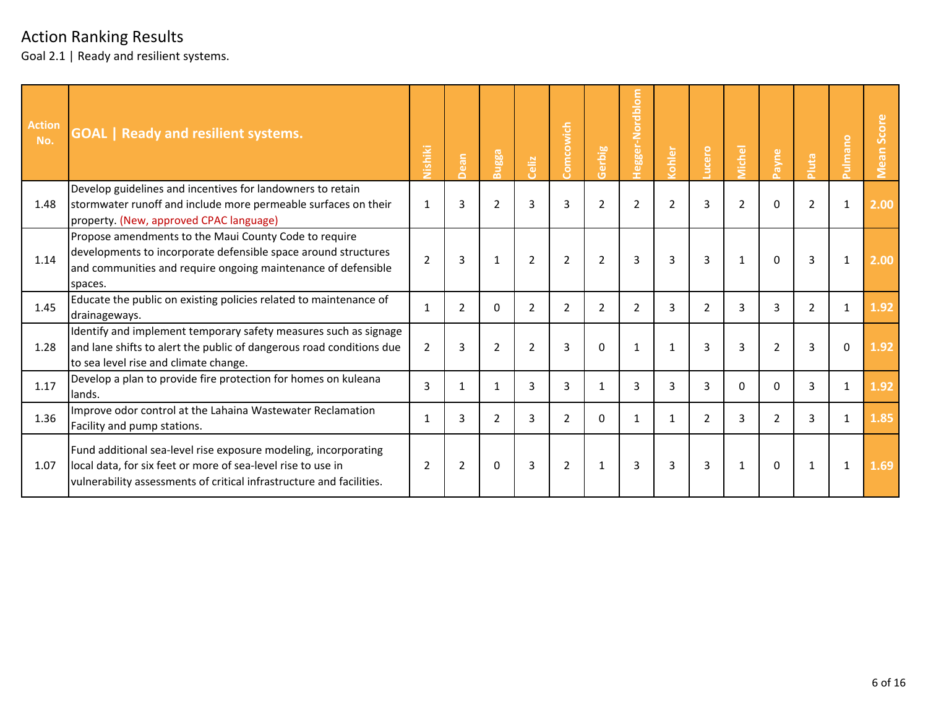| <b>Action</b><br>No. | <b>GOAL</b>   Ready and resilient systems.                                                                                                                                                              | Nishiki        | ean            | Bugga          | Celiz          | Comcowich      | Gerbig         | Hegger-Nordblom | ohler          | ucero          | <b>Aichel</b>  | ayne           | luta           | ulmano       | Score<br><b>Mean</b> |
|----------------------|---------------------------------------------------------------------------------------------------------------------------------------------------------------------------------------------------------|----------------|----------------|----------------|----------------|----------------|----------------|-----------------|----------------|----------------|----------------|----------------|----------------|--------------|----------------------|
| 1.48                 | Develop guidelines and incentives for landowners to retain<br>stormwater runoff and include more permeable surfaces on their<br>property. (New, approved CPAC language)                                 | 1              | 3              | $\overline{2}$ | 3              | 3              | $\overline{2}$ | $\overline{2}$  | $\overline{2}$ | $\overline{3}$ | $\overline{2}$ | $\Omega$       | $\overline{2}$ | 1            | 2.00                 |
| 1.14                 | Propose amendments to the Maui County Code to require<br>developments to incorporate defensible space around structures<br>and communities and require ongoing maintenance of defensible<br>spaces.     | $\overline{2}$ | 3              | 1              | $\overline{2}$ | $\overline{2}$ | $\overline{2}$ | 3               | 3              | 3              | 1              | $\Omega$       | 3              | 1            | 2.00                 |
| 1.45                 | Educate the public on existing policies related to maintenance of<br>drainageways.                                                                                                                      | $\mathbf{1}$   | 2              | $\Omega$       | 2              | 2              | 2              | 2               | 3              | 2              | 3              | 3              | $\overline{2}$ | 1            | 1.92                 |
| 1.28                 | Identify and implement temporary safety measures such as signage<br>and lane shifts to alert the public of dangerous road conditions due<br>to sea level rise and climate change.                       | 2              | 3              | 2              | $\overline{2}$ | 3              | $\Omega$       | $\mathbf{1}$    | 1              | 3              | $\overline{3}$ | $\overline{2}$ | 3              | $\mathbf 0$  | 1.92                 |
| 1.17                 | Develop a plan to provide fire protection for homes on kuleana<br>lands.                                                                                                                                | 3              | 1              | $\mathbf 1$    | 3              | 3              | 1              | 3               | 3              | 3              | $\Omega$       | $\Omega$       | 3              | $\mathbf{1}$ | 1.92                 |
| 1.36                 | Improve odor control at the Lahaina Wastewater Reclamation<br>Facility and pump stations.                                                                                                               | $\mathbf{1}$   | 3              | 2              | 3              | $\overline{2}$ | $\Omega$       | 1               | 1              | 2              | 3              | $\overline{2}$ | 3              | 1            | 1.85                 |
| 1.07                 | Fund additional sea-level rise exposure modeling, incorporating<br>local data, for six feet or more of sea-level rise to use in<br>vulnerability assessments of critical infrastructure and facilities. | $\overline{2}$ | $\overline{2}$ | $\Omega$       | 3              | $\overline{2}$ | 1              | 3               | 3              | 3              | 1              | $\Omega$       | 1              | 1            | 1.69                 |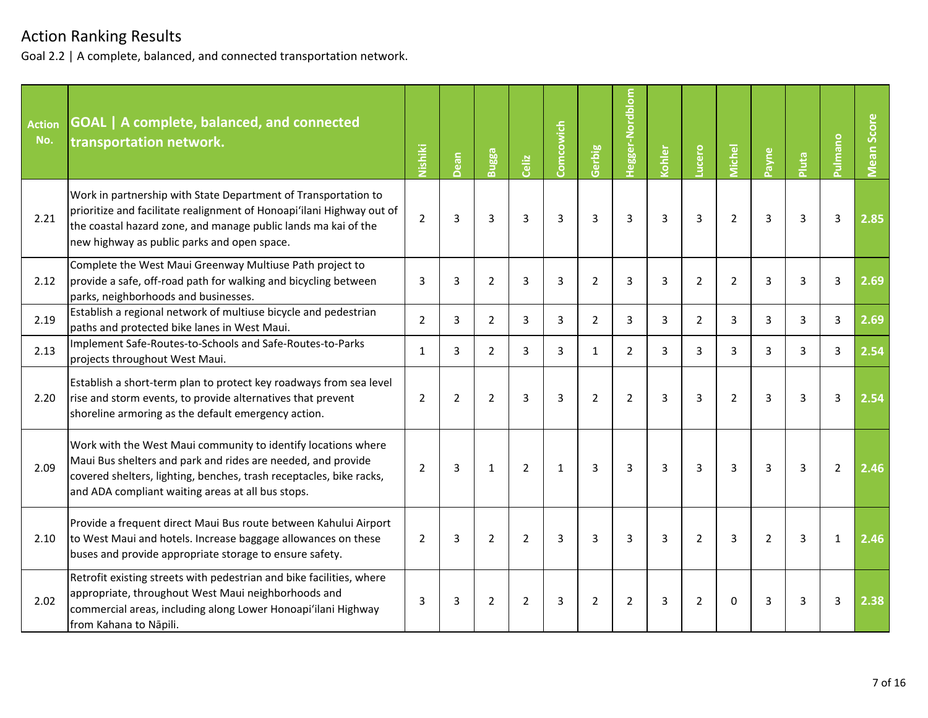| <b>Action</b><br>No. | <b>GOAL</b>   A complete, balanced, and connected<br>transportation network.                                                                                                                                                                              | Nishiki        | Dean           | Bugga          | Celiz          | Comcowich      | Gerbig         | <b>Tegger-Nordblom</b> | Kohler | ucero          | <b>Viichel</b> | Payne          | Pluta | <b>Pulmano</b> | <b>Vlean Score</b> |
|----------------------|-----------------------------------------------------------------------------------------------------------------------------------------------------------------------------------------------------------------------------------------------------------|----------------|----------------|----------------|----------------|----------------|----------------|------------------------|--------|----------------|----------------|----------------|-------|----------------|--------------------|
| 2.21                 | Work in partnership with State Department of Transportation to<br>prioritize and facilitate realignment of Honoapi'ilani Highway out of<br>the coastal hazard zone, and manage public lands ma kai of the<br>new highway as public parks and open space.  | $\overline{2}$ | 3              | 3              | 3              | $\overline{3}$ | 3              | 3                      | 3      | 3              | $\overline{2}$ | 3              | 3     | 3              | 2.85               |
| 2.12                 | Complete the West Maui Greenway Multiuse Path project to<br>provide a safe, off-road path for walking and bicycling between<br>parks, neighborhoods and businesses.                                                                                       | 3              | 3              | 2              | 3              | 3              | $\overline{2}$ | 3                      | 3      | $\overline{2}$ | $\overline{2}$ | 3              | 3     | 3              | 2.69               |
| 2.19                 | Establish a regional network of multiuse bicycle and pedestrian<br>paths and protected bike lanes in West Maui.                                                                                                                                           | $\overline{2}$ | 3              | $\overline{2}$ | 3              | 3              | $\overline{2}$ | 3                      | 3      | $\overline{2}$ | 3              | 3              | 3     | 3              | 2.69               |
| 2.13                 | Implement Safe-Routes-to-Schools and Safe-Routes-to-Parks<br>projects throughout West Maui.                                                                                                                                                               | $\mathbf{1}$   | 3              | $\overline{2}$ | 3              | 3              | $\mathbf{1}$   | $\overline{2}$         | 3      | 3              | 3              | 3              | 3     | 3              | 2.54               |
| 2.20                 | Establish a short-term plan to protect key roadways from sea level<br>rise and storm events, to provide alternatives that prevent<br>shoreline armoring as the default emergency action.                                                                  | $\overline{2}$ | $\overline{2}$ | $\overline{2}$ | 3              | 3              | $\overline{2}$ | $\overline{2}$         | 3      | 3              | $\overline{2}$ | 3              | 3     | 3              | 2.54               |
| 2.09                 | Work with the West Maui community to identify locations where<br>Maui Bus shelters and park and rides are needed, and provide<br>covered shelters, lighting, benches, trash receptacles, bike racks,<br>and ADA compliant waiting areas at all bus stops. | $\overline{2}$ | 3              | $\mathbf{1}$   | $\overline{2}$ | $\mathbf{1}$   | 3              | $\overline{3}$         | 3      | $\overline{3}$ | 3              | 3              | 3     | $\overline{2}$ | 2.46               |
| 2.10                 | Provide a frequent direct Maui Bus route between Kahului Airport<br>to West Maui and hotels. Increase baggage allowances on these<br>buses and provide appropriate storage to ensure safety.                                                              | 2              | 3              | 2              | $\overline{2}$ | 3              | 3              | 3                      | 3      | $\overline{2}$ | 3              | $\overline{2}$ | 3     | $\mathbf{1}$   | 2.46               |
| 2.02                 | Retrofit existing streets with pedestrian and bike facilities, where<br>appropriate, throughout West Maui neighborhoods and<br>commercial areas, including along Lower Honoapi'ilani Highway<br>from Kahana to Nāpili.                                    | 3              | 3              | 2              | $\overline{2}$ | 3              | $\overline{2}$ | $\overline{2}$         | 3      | $\overline{2}$ | $\Omega$       | 3              | 3     | 3              | 2.38               |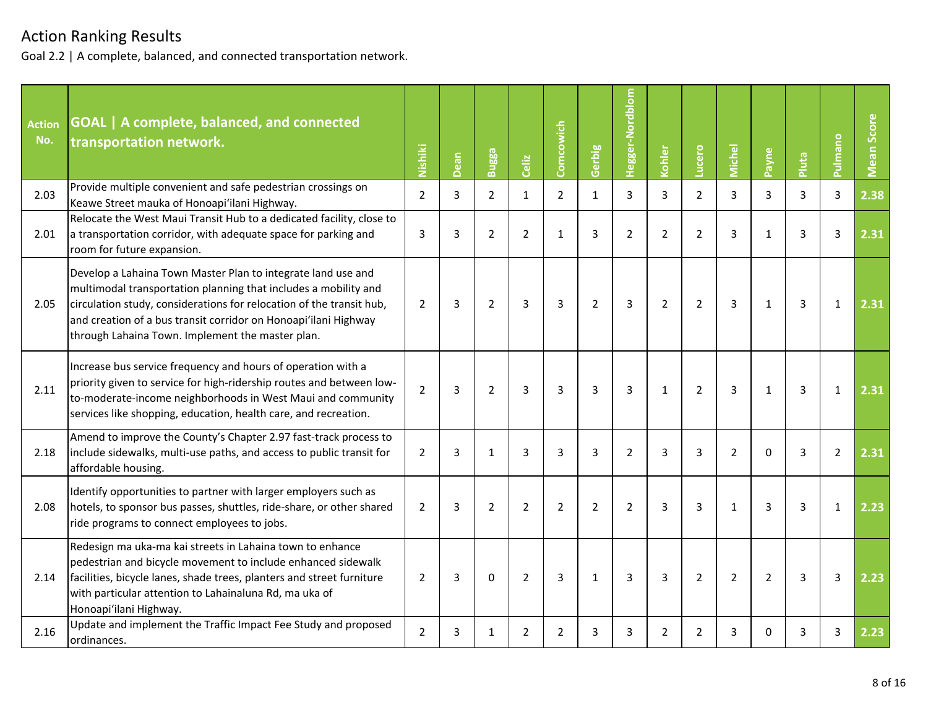| <b>Action</b><br>No. | GOAL   A complete, balanced, and connected<br>transportation network.                                                                                                                                                                                                                                                          | Nishiki        | Dean | Bugga          | Celiz          | Comcowich      | Gerbig         | Hegger-Nordblom | Kohler         | Lucero         | <b>Michel</b>  | Payne          | Pluta | Pulmano        | Mean Score |
|----------------------|--------------------------------------------------------------------------------------------------------------------------------------------------------------------------------------------------------------------------------------------------------------------------------------------------------------------------------|----------------|------|----------------|----------------|----------------|----------------|-----------------|----------------|----------------|----------------|----------------|-------|----------------|------------|
| 2.03                 | Provide multiple convenient and safe pedestrian crossings on<br>Keawe Street mauka of Honoapi'ilani Highway.                                                                                                                                                                                                                   | $\overline{2}$ | 3    | $\overline{2}$ | $\mathbf{1}$   | $\overline{2}$ | $\mathbf{1}$   | 3               | 3              | $\overline{2}$ | 3              | 3              | 3     | 3              | 2.38       |
| 2.01                 | Relocate the West Maui Transit Hub to a dedicated facility, close to<br>a transportation corridor, with adequate space for parking and<br>room for future expansion.                                                                                                                                                           | 3              | 3    | 2              | $\overline{2}$ | 1              | 3              | $\overline{2}$  | $\overline{2}$ | $\overline{2}$ | 3              | $\mathbf{1}$   | 3     | 3              | 2.31       |
| 2.05                 | Develop a Lahaina Town Master Plan to integrate land use and<br>multimodal transportation planning that includes a mobility and<br>circulation study, considerations for relocation of the transit hub,<br>and creation of a bus transit corridor on Honoapi'ilani Highway<br>through Lahaina Town. Implement the master plan. | 2              | 3    | $\overline{2}$ | 3              | 3              | $\overline{2}$ | 3               | $\overline{2}$ | $\overline{2}$ | $\overline{3}$ | $\mathbf{1}$   | 3     | 1              | 2.31       |
| 2.11                 | Increase bus service frequency and hours of operation with a<br>priority given to service for high-ridership routes and between low-<br>to-moderate-income neighborhoods in West Maui and community<br>services like shopping, education, health care, and recreation.                                                         | $\overline{2}$ | 3    | $\overline{2}$ | 3              | 3              | 3              | 3               | $\mathbf{1}$   | $\overline{2}$ | 3              | $\mathbf{1}$   | 3     | 1              | 2.31       |
| 2.18                 | Amend to improve the County's Chapter 2.97 fast-track process to<br>include sidewalks, multi-use paths, and access to public transit for<br>affordable housing.                                                                                                                                                                | 2              | 3    | $\mathbf{1}$   | 3              | 3              | 3              | $\overline{2}$  | 3              | 3              | $\overline{2}$ | $\Omega$       | 3     | $\overline{2}$ | 2.31       |
| 2.08                 | Identify opportunities to partner with larger employers such as<br>hotels, to sponsor bus passes, shuttles, ride-share, or other shared<br>ride programs to connect employees to jobs.                                                                                                                                         | $\overline{2}$ | 3    | $\overline{2}$ | $\overline{2}$ | $\overline{2}$ | $\overline{2}$ | $\overline{2}$  | 3              | 3              | $\mathbf{1}$   | 3              | 3     | $\mathbf{1}$   | 2.23       |
| 2.14                 | Redesign ma uka-ma kai streets in Lahaina town to enhance<br>pedestrian and bicycle movement to include enhanced sidewalk<br>facilities, bicycle lanes, shade trees, planters and street furniture<br>with particular attention to Lahainaluna Rd, ma uka of<br>Honoapi'ilani Highway.                                         | $\overline{2}$ | 3    | $\Omega$       | $\overline{2}$ | 3              | $\mathbf{1}$   | 3               | 3              | $\overline{2}$ | $\overline{2}$ | $\overline{2}$ | 3     | 3              | 2.23       |
| 2.16                 | Update and implement the Traffic Impact Fee Study and proposed<br>ordinances.                                                                                                                                                                                                                                                  | $\overline{2}$ | 3    | $\mathbf{1}$   | $\overline{2}$ | $\overline{2}$ | 3              | 3               | $\overline{2}$ | $\overline{2}$ | 3              | $\Omega$       | 3     | 3              | 2.23       |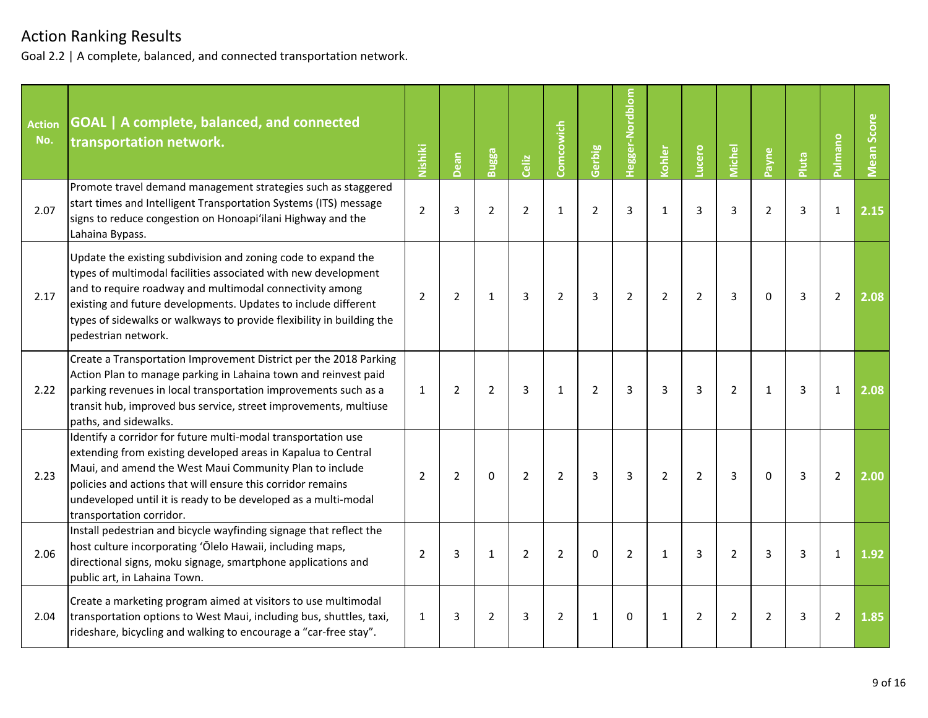| <b>Action</b><br>No. | <b>GOAL</b>   A complete, balanced, and connected<br>transportation network.                                                                                                                                                                                                                                                                                  | Nishiki        | Dean           | Bugga          | Celiz          | Comcowich      | Gerbig         | Hegger-Nordblom | Kohler         | Lucero         | <b>Michel</b>  | Payne          | Pluta          | <b>Pulmano</b> | <b>Mean Score</b> |
|----------------------|---------------------------------------------------------------------------------------------------------------------------------------------------------------------------------------------------------------------------------------------------------------------------------------------------------------------------------------------------------------|----------------|----------------|----------------|----------------|----------------|----------------|-----------------|----------------|----------------|----------------|----------------|----------------|----------------|-------------------|
| 2.07                 | Promote travel demand management strategies such as staggered<br>start times and Intelligent Transportation Systems (ITS) message<br>signs to reduce congestion on Honoapi'ilani Highway and the<br>Lahaina Bypass.                                                                                                                                           | $\overline{2}$ | 3              | $\overline{2}$ | $\overline{2}$ | $\mathbf{1}$   | $\overline{2}$ | 3               | $\mathbf{1}$   | $\overline{3}$ | $\overline{3}$ | $\overline{2}$ | 3              | $\mathbf{1}$   | 2.15              |
| 2.17                 | Update the existing subdivision and zoning code to expand the<br>types of multimodal facilities associated with new development<br>and to require roadway and multimodal connectivity among<br>existing and future developments. Updates to include different<br>types of sidewalks or walkways to provide flexibility in building the<br>pedestrian network. | $\overline{2}$ | $\overline{2}$ | $\mathbf{1}$   | 3              | $\overline{2}$ | 3              | $\overline{2}$  | $\overline{2}$ | $\overline{2}$ | 3              | $\Omega$       | $\overline{3}$ | $\overline{2}$ | 2.08              |
| 2.22                 | Create a Transportation Improvement District per the 2018 Parking<br>Action Plan to manage parking in Lahaina town and reinvest paid<br>parking revenues in local transportation improvements such as a<br>transit hub, improved bus service, street improvements, multiuse<br>paths, and sidewalks.                                                          | $\mathbf{1}$   | $\overline{2}$ | $\overline{2}$ | 3              | $\mathbf{1}$   | $\overline{2}$ | 3               | 3              | $\overline{3}$ | $\overline{2}$ | $\mathbf{1}$   | 3              | 1              | 2.08              |
| 2.23                 | Identify a corridor for future multi-modal transportation use<br>extending from existing developed areas in Kapalua to Central<br>Maui, and amend the West Maui Community Plan to include<br>policies and actions that will ensure this corridor remains<br>undeveloped until it is ready to be developed as a multi-modal<br>transportation corridor.        | $\overline{2}$ | $\overline{2}$ | $\mathbf 0$    | $\overline{2}$ | $\overline{2}$ | $\overline{3}$ | $\overline{3}$  | $\overline{2}$ | $\overline{2}$ | 3              | $\mathbf 0$    | 3              | $\overline{2}$ | 2.00              |
| 2.06                 | Install pedestrian and bicycle wayfinding signage that reflect the<br>host culture incorporating 'Ōlelo Hawaii, including maps,<br>directional signs, moku signage, smartphone applications and<br>public art, in Lahaina Town.                                                                                                                               | $\overline{2}$ | 3              | $\mathbf{1}$   | $\overline{2}$ | $\overline{2}$ | $\Omega$       | $\overline{2}$  | $\mathbf{1}$   | $\overline{3}$ | $\overline{2}$ | 3              | 3              | $\mathbf{1}$   | 1.92              |
| 2.04                 | Create a marketing program aimed at visitors to use multimodal<br>transportation options to West Maui, including bus, shuttles, taxi,<br>rideshare, bicycling and walking to encourage a "car-free stay".                                                                                                                                                     | $\mathbf{1}$   | 3              | $\overline{2}$ | 3              | $\overline{2}$ | 1              | $\Omega$        | $\mathbf{1}$   | $\overline{2}$ | $\overline{2}$ | $\overline{2}$ | 3              | $\overline{2}$ | 1.85              |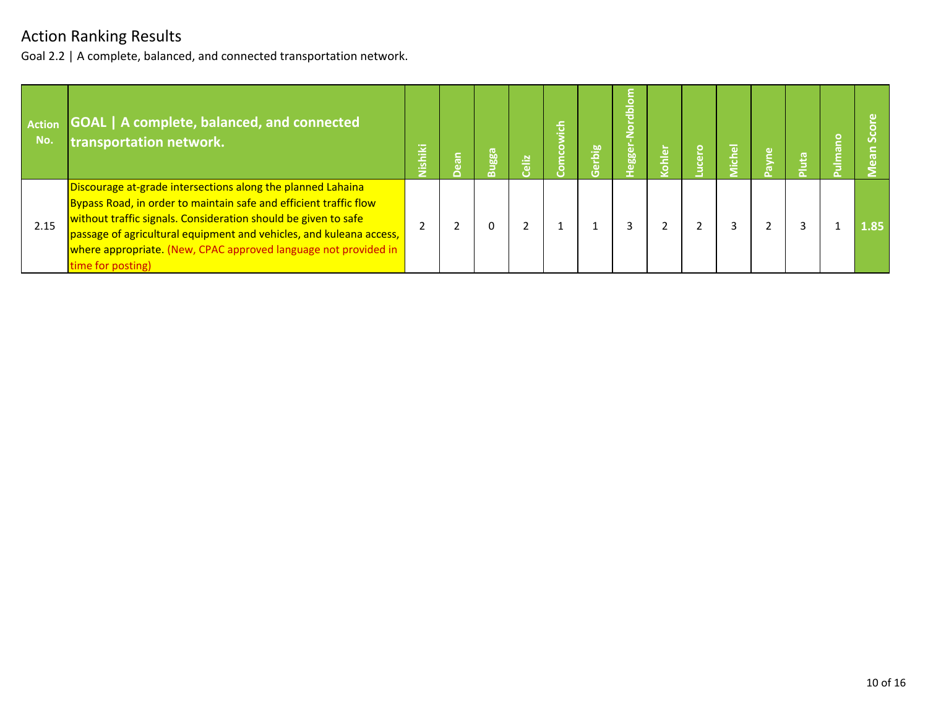| <b>Action</b><br>No. | GOAL   A complete, balanced, and connected<br>transportation network.                                                                                                                                                                                                                                                                                             | Vishiki | 등 | Bugga | sliz | ء<br>ڇ<br>o | erbig | $\circ$<br>흨<br>e<br><b>188</b> | ohler | $\circ$<br>$\tilde{a}$ | chel<br>Æ |  |      |
|----------------------|-------------------------------------------------------------------------------------------------------------------------------------------------------------------------------------------------------------------------------------------------------------------------------------------------------------------------------------------------------------------|---------|---|-------|------|-------------|-------|---------------------------------|-------|------------------------|-----------|--|------|
| 2.15                 | Discourage at-grade intersections along the planned Lahaina<br>Bypass Road, in order to maintain safe and efficient traffic flow<br>without traffic signals. Consideration should be given to safe<br>passage of agricultural equipment and vehicles, and kuleana access,<br>where appropriate. (New, CPAC approved language not provided in<br>time for posting) |         |   |       |      |             |       |                                 |       |                        |           |  | 1.85 |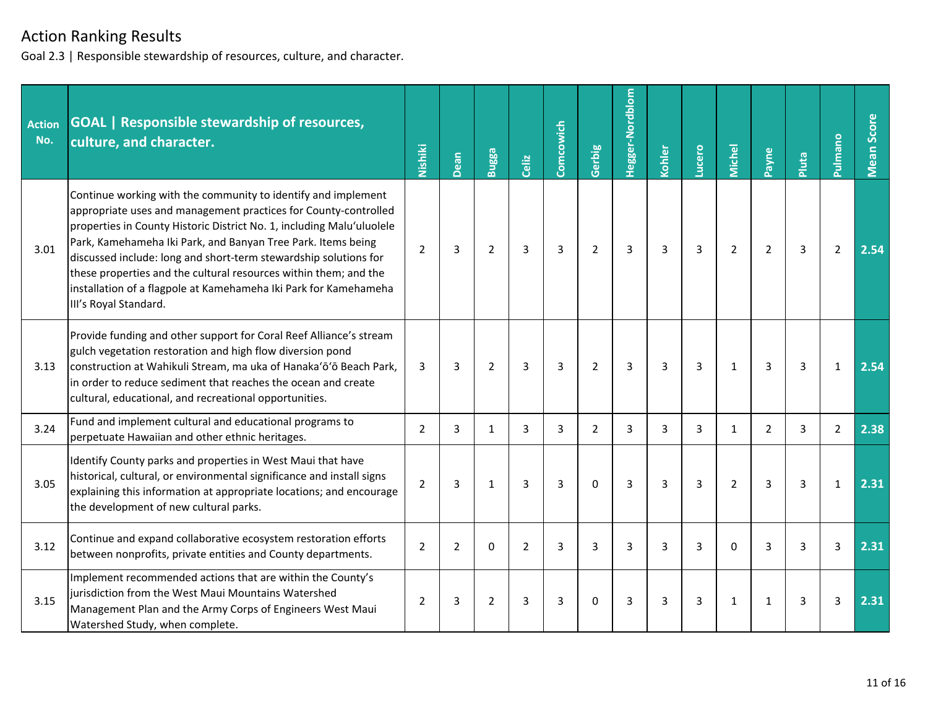Goal 2.3 | Responsible stewardship of resources, culture, and character.

| <b>Action</b><br>No. | <b>GOAL</b>   Responsible stewardship of resources,<br>culture, and character.                                                                                                                                                                                                                                                                                                                                                                                                                                 | Nishiki        | Dean           | Bugga          | Celiz          | Comcowich | Gerbig         | Hegger-Nordblom | Kohler | Lucero         | <b>Michel</b>  | Payne          | Pluta | Pulmano        | Mean Score |
|----------------------|----------------------------------------------------------------------------------------------------------------------------------------------------------------------------------------------------------------------------------------------------------------------------------------------------------------------------------------------------------------------------------------------------------------------------------------------------------------------------------------------------------------|----------------|----------------|----------------|----------------|-----------|----------------|-----------------|--------|----------------|----------------|----------------|-------|----------------|------------|
| 3.01                 | Continue working with the community to identify and implement<br>appropriate uses and management practices for County-controlled<br>properties in County Historic District No. 1, including Malu'uluolele<br>Park, Kamehameha Iki Park, and Banyan Tree Park. Items being<br>discussed include: long and short-term stewardship solutions for<br>these properties and the cultural resources within them; and the<br>installation of a flagpole at Kamehameha Iki Park for Kamehameha<br>III's Royal Standard. | $\overline{2}$ | 3              | $\overline{2}$ | 3              | 3         | $\overline{2}$ | 3               | 3      | 3              | $\overline{2}$ | $\overline{2}$ | 3     | $\overline{2}$ | 2.54       |
| 3.13                 | Provide funding and other support for Coral Reef Alliance's stream<br>gulch vegetation restoration and high flow diversion pond<br>construction at Wahikuli Stream, ma uka of Hanaka'ō'ō Beach Park,<br>in order to reduce sediment that reaches the ocean and create<br>cultural, educational, and recreational opportunities.                                                                                                                                                                                | 3              | 3              | $\overline{2}$ | 3              | 3         | $\overline{2}$ | 3               | 3      | 3              | $\mathbf{1}$   | 3              | 3     | $\mathbf{1}$   | 2.54       |
| 3.24                 | Fund and implement cultural and educational programs to<br>perpetuate Hawaiian and other ethnic heritages.                                                                                                                                                                                                                                                                                                                                                                                                     | $\overline{2}$ | 3              | $\mathbf{1}$   | 3              | 3         | $\overline{2}$ | 3               | 3      | 3              | $\mathbf{1}$   | $\overline{2}$ | 3     | $\overline{2}$ | 2.38       |
| 3.05                 | Identify County parks and properties in West Maui that have<br>historical, cultural, or environmental significance and install signs<br>explaining this information at appropriate locations; and encourage<br>the development of new cultural parks.                                                                                                                                                                                                                                                          | $\overline{2}$ | 3              | 1              | 3              | 3         | $\Omega$       | $\overline{3}$  | 3      | $\overline{3}$ | $\overline{2}$ | 3              | 3     | $\mathbf{1}$   | 2.31       |
| 3.12                 | Continue and expand collaborative ecosystem restoration efforts<br>between nonprofits, private entities and County departments.                                                                                                                                                                                                                                                                                                                                                                                | $\overline{2}$ | $\overline{2}$ | $\Omega$       | $\overline{2}$ | 3         | 3              | 3               | 3      | 3              | $\Omega$       | 3              | 3     | 3              | 2.31       |
| 3.15                 | Implement recommended actions that are within the County's<br>jurisdiction from the West Maui Mountains Watershed<br>Management Plan and the Army Corps of Engineers West Maui<br>Watershed Study, when complete.                                                                                                                                                                                                                                                                                              | $\overline{2}$ | 3              | $\overline{2}$ | 3              | 3         | $\Omega$       | 3               | 3      | 3              | $\mathbf{1}$   | $\mathbf{1}$   | 3     | 3              | 2.31       |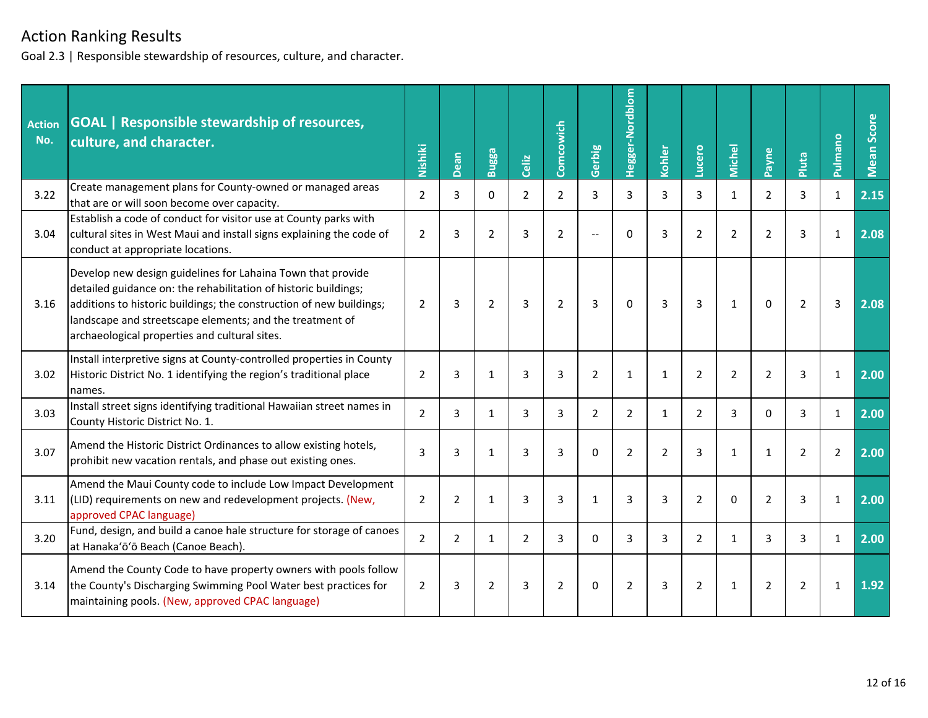Goal 2.3 | Responsible stewardship of resources, culture, and character.

| <b>Action</b><br>No. | <b>GOAL</b>   Responsible stewardship of resources,<br>culture, and character.                                                                                                                                                                                                                                     | Nishiki        | Dean           | Bugga          | Celiz          | Comcowich      | Gerbig         | Hegger-Nordblom | Kohler         | Lucero         | <b>Michel</b>  | Payne          | Pluta          | Pulmano        | Mean Score |
|----------------------|--------------------------------------------------------------------------------------------------------------------------------------------------------------------------------------------------------------------------------------------------------------------------------------------------------------------|----------------|----------------|----------------|----------------|----------------|----------------|-----------------|----------------|----------------|----------------|----------------|----------------|----------------|------------|
| 3.22                 | Create management plans for County-owned or managed areas<br>that are or will soon become over capacity.                                                                                                                                                                                                           | $\overline{2}$ | 3              | $\Omega$       | $\overline{2}$ | $\overline{2}$ | 3              | 3               | 3              | 3              | $\mathbf{1}$   | $\overline{2}$ | 3              | $\mathbf{1}$   | 2.15       |
| 3.04                 | Establish a code of conduct for visitor use at County parks with<br>cultural sites in West Maui and install signs explaining the code of<br>conduct at appropriate locations.                                                                                                                                      | 2              | 3              | $\overline{2}$ | 3              | $\overline{2}$ | $\sim$         | $\Omega$        | 3              | $\overline{2}$ | $\overline{2}$ | $\overline{2}$ | 3              | $\mathbf{1}$   | 2.08       |
| 3.16                 | Develop new design guidelines for Lahaina Town that provide<br>detailed guidance on: the rehabilitation of historic buildings;<br>additions to historic buildings; the construction of new buildings;<br>landscape and streetscape elements; and the treatment of<br>archaeological properties and cultural sites. | 2              | 3              | $\overline{2}$ | 3              | $\overline{2}$ | 3              | $\Omega$        | 3              | 3              | $\mathbf{1}$   | $\Omega$       | $\overline{2}$ | 3              | 2.08       |
| 3.02                 | Install interpretive signs at County-controlled properties in County<br>Historic District No. 1 identifying the region's traditional place<br>names.                                                                                                                                                               | $\overline{2}$ | 3              | $\mathbf{1}$   | 3              | 3              | $\overline{2}$ | $\mathbf{1}$    | $\mathbf{1}$   | $\overline{2}$ | $\overline{2}$ | $\overline{2}$ | 3              | $\mathbf{1}$   | 2.00       |
| 3.03                 | Install street signs identifying traditional Hawaiian street names in<br>County Historic District No. 1.                                                                                                                                                                                                           | $\overline{2}$ | 3              | 1              | 3              | 3              | $\overline{2}$ | $\overline{2}$  | $\mathbf{1}$   | $\overline{2}$ | 3              | $\mathbf{0}$   | 3              | $\mathbf{1}$   | 2.00       |
| 3.07                 | Amend the Historic District Ordinances to allow existing hotels,<br>prohibit new vacation rentals, and phase out existing ones.                                                                                                                                                                                    | 3              | 3              | $\mathbf{1}$   | 3              | 3              | $\Omega$       | $\overline{2}$  | $\overline{2}$ | $\overline{3}$ | $\mathbf{1}$   | $\mathbf{1}$   | $\overline{2}$ | $\overline{2}$ | 2.00       |
| 3.11                 | Amend the Maui County code to include Low Impact Development<br>(LID) requirements on new and redevelopment projects. (New,<br>approved CPAC language)                                                                                                                                                             | 2              | 2              | 1              | 3              | 3              | 1              | 3               | 3              | $\overline{2}$ | $\Omega$       | $\overline{2}$ | 3              | 1              | 2.00       |
| 3.20                 | Fund, design, and build a canoe hale structure for storage of canoes<br>at Hanaka'ō'ō Beach (Canoe Beach).                                                                                                                                                                                                         | $\overline{2}$ | $\overline{2}$ | $\mathbf{1}$   | $\overline{2}$ | 3              | $\Omega$       | 3               | 3              | $\overline{2}$ | $\mathbf{1}$   | 3              | 3              | $\mathbf{1}$   | 2.00       |
| 3.14                 | Amend the County Code to have property owners with pools follow<br>the County's Discharging Swimming Pool Water best practices for<br>maintaining pools. (New, approved CPAC language)                                                                                                                             | 2              | 3              | 2              | 3              | 2              | $\Omega$       | $\overline{2}$  | 3              | $\overline{2}$ | 1              | $\overline{2}$ | 2              | $\mathbf{1}$   | 1.92       |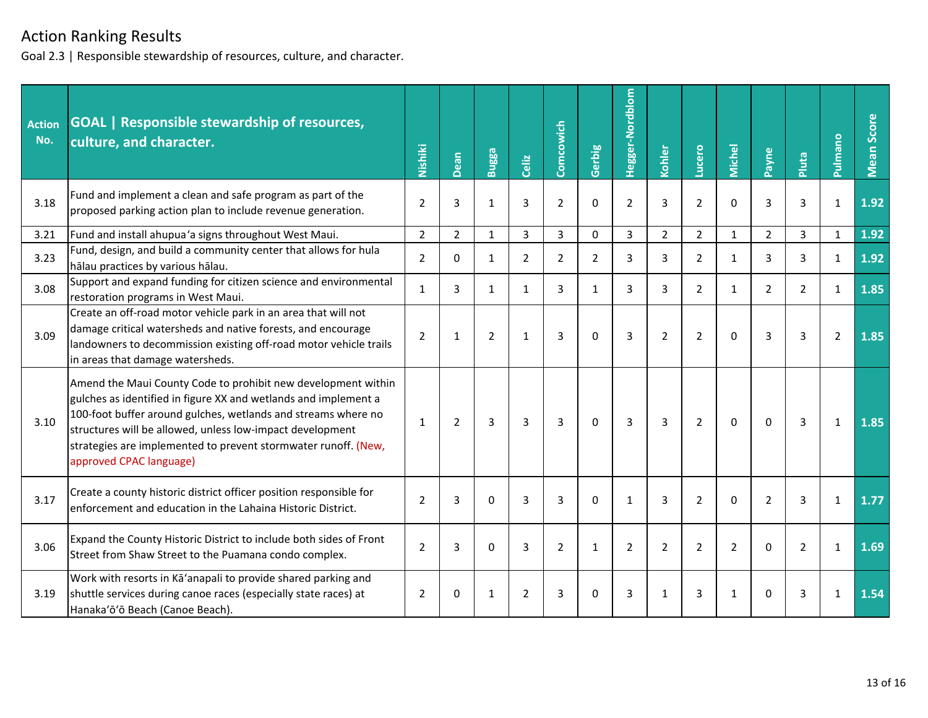Goal 2.3 | Responsible stewardship of resources, culture, and character.

| <b>Action</b><br>No. | <b>GOAL</b>   Responsible stewardship of resources,<br>culture, and character.                                                                                                                                                                                                                                                                              | Nishiki        | Dean           | Bugga          | Celiz          | Comcowich      | Gerbig         | Hegger-Nordblom | Kohler         | Lucero         | <b>Michel</b>  | Payne          | Pluta          | Pulmano        | Mean Score |
|----------------------|-------------------------------------------------------------------------------------------------------------------------------------------------------------------------------------------------------------------------------------------------------------------------------------------------------------------------------------------------------------|----------------|----------------|----------------|----------------|----------------|----------------|-----------------|----------------|----------------|----------------|----------------|----------------|----------------|------------|
| 3.18                 | Fund and implement a clean and safe program as part of the<br>proposed parking action plan to include revenue generation.                                                                                                                                                                                                                                   | $\overline{2}$ | 3              | 1              | 3              | $\overline{2}$ | $\mathbf 0$    | $\overline{2}$  | 3              | $\overline{2}$ | $\mathbf 0$    | 3              | 3              | 1              | 1.92       |
| 3.21                 | Fund and install ahupua'a signs throughout West Maui.                                                                                                                                                                                                                                                                                                       | $\overline{2}$ | $\overline{2}$ | 1              | 3              | $\overline{3}$ | $\mathbf{0}$   | 3               | $\overline{2}$ | $\overline{2}$ | $\mathbf{1}$   | $\overline{2}$ | 3              | $\mathbf{1}$   | 1.92       |
| 3.23                 | Fund, design, and build a community center that allows for hula<br>hālau practices by various hālau.                                                                                                                                                                                                                                                        | 2              | $\Omega$       | 1              | $\overline{2}$ | $\overline{2}$ | $\overline{2}$ | 3               | 3              | $\overline{2}$ | $\mathbf{1}$   | 3              | 3              | $\mathbf{1}$   | 1.92       |
| 3.08                 | Support and expand funding for citizen science and environmental<br>restoration programs in West Maui.                                                                                                                                                                                                                                                      | $\mathbf{1}$   | 3              | $\mathbf{1}$   | $\mathbf{1}$   | 3              | 1              | 3               | 3              | $\overline{2}$ | $\mathbf{1}$   | $\overline{2}$ | $\overline{2}$ | $\mathbf{1}$   | 1.85       |
| 3.09                 | Create an off-road motor vehicle park in an area that will not<br>damage critical watersheds and native forests, and encourage<br>landowners to decommission existing off-road motor vehicle trails<br>in areas that damage watersheds.                                                                                                                     | $\overline{2}$ | $\mathbf{1}$   | $\overline{2}$ | $\mathbf{1}$   | $\overline{3}$ | $\Omega$       | 3               | $\overline{2}$ | $\overline{2}$ | $\Omega$       | 3              | 3              | $\overline{2}$ | 1.85       |
| 3.10                 | Amend the Maui County Code to prohibit new development within<br>gulches as identified in figure XX and wetlands and implement a<br>100-foot buffer around gulches, wetlands and streams where no<br>structures will be allowed, unless low-impact development<br>strategies are implemented to prevent stormwater runoff. (New,<br>approved CPAC language) | $\mathbf{1}$   | $\overline{2}$ | 3              | 3              | $\overline{3}$ | $\Omega$       | 3               | $\overline{3}$ | $\overline{2}$ | $\Omega$       | $\Omega$       | 3              | $\mathbf{1}$   | 1.85       |
| 3.17                 | Create a county historic district officer position responsible for<br>enforcement and education in the Lahaina Historic District.                                                                                                                                                                                                                           | $\overline{2}$ | 3              | $\Omega$       | 3              | 3              | $\Omega$       | $\mathbf{1}$    | 3              | $\overline{2}$ | $\Omega$       | $\overline{2}$ | 3              | $\mathbf{1}$   | 1.77       |
| 3.06                 | Expand the County Historic District to include both sides of Front<br>Street from Shaw Street to the Puamana condo complex.                                                                                                                                                                                                                                 | $\overline{2}$ | 3              | $\Omega$       | 3              | $\overline{2}$ | 1              | $\overline{2}$  | $\overline{2}$ | $\overline{2}$ | $\overline{2}$ | $\Omega$       | $\overline{2}$ | $\mathbf{1}$   | 1.69       |
| 3.19                 | Work with resorts in Ka'anapali to provide shared parking and<br>shuttle services during canoe races (especially state races) at<br>Hanaka'ō'ō Beach (Canoe Beach).                                                                                                                                                                                         | $\overline{2}$ | $\Omega$       | 1              | $\overline{2}$ | 3              | $\Omega$       | 3               | 1              | 3              | 1              | $\Omega$       | 3              | 1              | 1.54       |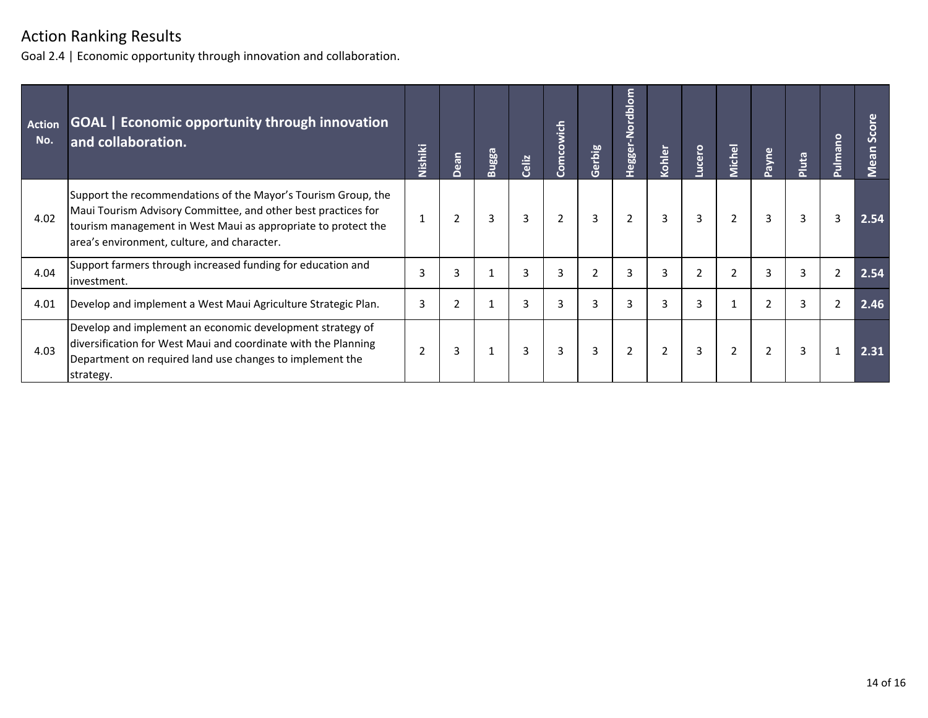Goal 2.4 | Economic opportunity through innovation and collaboration.

| Action<br>No. | <b>GOAL</b>   Economic opportunity through innovation<br>and collaboration.                                                                                                                                                                    | Nishiki        | Dean | Bugga | Celiz | Comcowich      | Gerbig | Hegger-Nordblom | kohler | ucero | vichel         | ayne           | Pluta | $\circ$<br>pulman | $\circ$<br>ō<br>Ō<br>$\overline{a}$<br>$\ddot{\mathbf{v}}$ |
|---------------|------------------------------------------------------------------------------------------------------------------------------------------------------------------------------------------------------------------------------------------------|----------------|------|-------|-------|----------------|--------|-----------------|--------|-------|----------------|----------------|-------|-------------------|------------------------------------------------------------|
| 4.02          | Support the recommendations of the Mayor's Tourism Group, the<br>Maui Tourism Advisory Committee, and other best practices for<br>tourism management in West Maui as appropriate to protect the<br>area's environment, culture, and character. |                | 2    | 3     | 3     | $\overline{2}$ | 3      | 2               | 3      | 3     | $\overline{2}$ | 3              | 3     | 3                 | 2.54                                                       |
| 4.04          | Support farmers through increased funding for education and<br>linvestment.                                                                                                                                                                    | 3              | 3    |       | 3     | 3              |        | 3               |        |       | $\overline{2}$ | 3              | 3     | 2                 | 2.54                                                       |
| 4.01          | Develop and implement a West Maui Agriculture Strategic Plan.                                                                                                                                                                                  | 3              | 2    |       | 3     | 3              |        | 3               |        | 3     |                | $\overline{2}$ | 3     | $\overline{2}$    | 2.46                                                       |
| 4.03          | Develop and implement an economic development strategy of<br>diversification for West Maui and coordinate with the Planning<br>Department on required land use changes to implement the<br>strategy.                                           | $\overline{2}$ | 3    |       | 3     | 3              | 3      | 2               |        | 3     | $\overline{2}$ | $\overline{2}$ | 3     |                   | 2.31                                                       |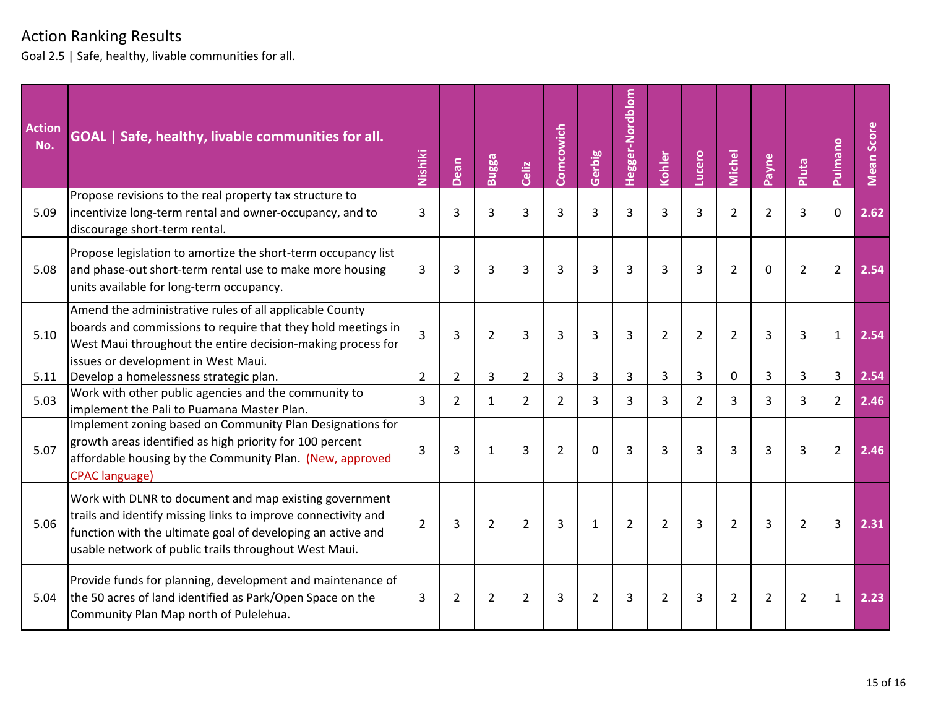Goal 2.5 | Safe, healthy, livable communities for all.

| <b>Action</b><br>No. | GOAL   Safe, healthy, livable communities for all.                                                                                                                                                                                              | Nishiki        | Dean           | Bugga          | Celiz          | Comcowich      | Gerbig         | Hegger-Nordblom | Kohler         | Lucero         | <b>Michel</b>  | Payne          | Pluta          | Pulmano        | Mean Score |
|----------------------|-------------------------------------------------------------------------------------------------------------------------------------------------------------------------------------------------------------------------------------------------|----------------|----------------|----------------|----------------|----------------|----------------|-----------------|----------------|----------------|----------------|----------------|----------------|----------------|------------|
| 5.09                 | Propose revisions to the real property tax structure to<br>incentivize long-term rental and owner-occupancy, and to<br>discourage short-term rental.                                                                                            | 3              | 3              | 3              | 3              | $\overline{3}$ | 3              | $\overline{3}$  | $\overline{3}$ | $\overline{3}$ | $\overline{2}$ | $\overline{2}$ | 3              | $\mathbf{0}$   | 2.62       |
| 5.08                 | Propose legislation to amortize the short-term occupancy list<br>and phase-out short-term rental use to make more housing<br>units available for long-term occupancy.                                                                           | 3              | 3              | 3              | 3              | 3              | 3              | 3               | 3              | 3              | $\overline{2}$ | 0              | 2              | $\overline{2}$ | 2.54       |
| 5.10                 | Amend the administrative rules of all applicable County<br>boards and commissions to require that they hold meetings in<br>West Maui throughout the entire decision-making process for<br>issues or development in West Maui.                   | $\overline{3}$ | 3              | $\overline{2}$ | 3              | $\overline{3}$ | 3              | 3               | $\overline{2}$ | $\overline{2}$ | $\overline{2}$ | 3              | 3              | $\mathbf{1}$   | 2.54       |
| 5.11                 | Develop a homelessness strategic plan.                                                                                                                                                                                                          | $\overline{2}$ | $\overline{2}$ | 3              | $\overline{2}$ | 3              | 3              | 3               | 3              | 3              | $\Omega$       | 3              | 3              | 3              | 2.54       |
| 5.03                 | Work with other public agencies and the community to<br>implement the Pali to Puamana Master Plan.                                                                                                                                              | 3              | 2              | $\mathbf{1}$   | 2              | $\overline{2}$ | 3              | 3               | 3              | $\overline{2}$ | 3              | 3              | 3              | $\overline{2}$ | 2.46       |
| 5.07                 | Implement zoning based on Community Plan Designations for<br>growth areas identified as high priority for 100 percent<br>affordable housing by the Community Plan. (New, approved<br><b>CPAC</b> language)                                      | 3              | 3              | $\mathbf{1}$   | $\overline{3}$ | $\overline{2}$ | $\mathbf 0$    | $\overline{3}$  | $\overline{3}$ | $\overline{3}$ | 3              | $\overline{3}$ | 3              | $\overline{2}$ | 2.46       |
| 5.06                 | Work with DLNR to document and map existing government<br>trails and identify missing links to improve connectivity and<br>function with the ultimate goal of developing an active and<br>usable network of public trails throughout West Maui. | $\overline{2}$ | 3              | $\overline{2}$ | $\overline{2}$ | $\overline{3}$ | $\mathbf{1}$   | $\overline{2}$  | $\overline{2}$ | 3              | $\overline{2}$ | $\overline{3}$ | $\overline{2}$ | $\overline{3}$ | 2.31       |
| 5.04                 | Provide funds for planning, development and maintenance of<br>the 50 acres of land identified as Park/Open Space on the<br>Community Plan Map north of Pulelehua.                                                                               | 3              | $\overline{2}$ | $\overline{2}$ | $\overline{2}$ | 3              | $\overline{2}$ | 3               | $\overline{2}$ | 3              | $\overline{2}$ | $\overline{2}$ | 2              | $\mathbf{1}$   | 2.23       |